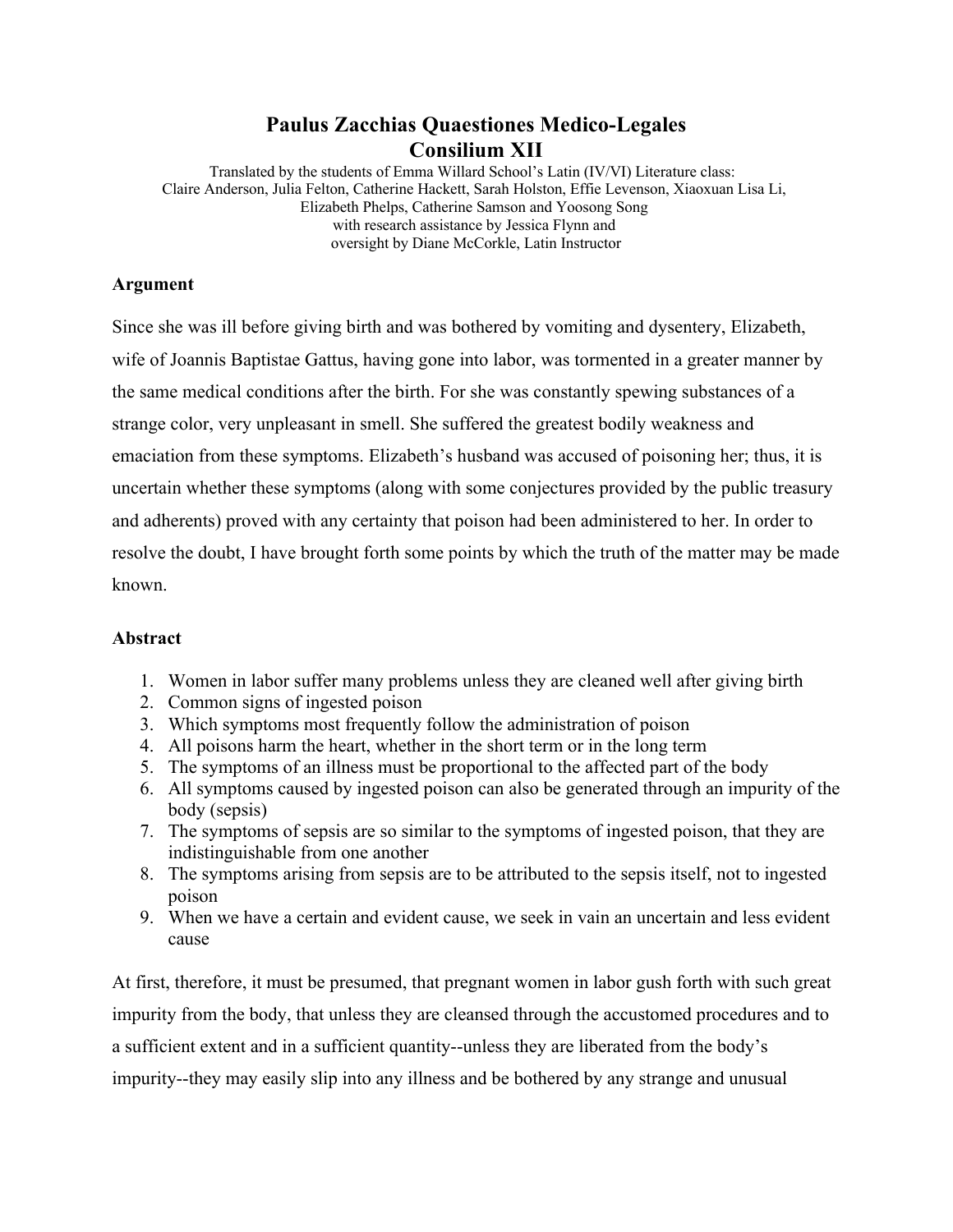## **Paulus Zacchias Quaestiones Medico-Legales Consilium XII**

Translated by the students of Emma Willard School's Latin (IV/VI) Literature class: Claire Anderson, Julia Felton, Catherine Hackett, Sarah Holston, Effie Levenson, Xiaoxuan Lisa Li, Elizabeth Phelps, Catherine Samson and Yoosong Song with research assistance by Jessica Flynn and oversight by Diane McCorkle, Latin Instructor

## **Argument**

Since she was ill before giving birth and was bothered by vomiting and dysentery, Elizabeth, wife of Joannis Baptistae Gattus, having gone into labor, was tormented in a greater manner by the same medical conditions after the birth. For she was constantly spewing substances of a strange color, very unpleasant in smell. She suffered the greatest bodily weakness and emaciation from these symptoms. Elizabeth's husband was accused of poisoning her; thus, it is uncertain whether these symptoms (along with some conjectures provided by the public treasury and adherents) proved with any certainty that poison had been administered to her. In order to resolve the doubt, I have brought forth some points by which the truth of the matter may be made known.

## **Abstract**

- 1. Women in labor suffer many problems unless they are cleaned well after giving birth
- 2. Common signs of ingested poison
- 3. Which symptoms most frequently follow the administration of poison
- 4. All poisons harm the heart, whether in the short term or in the long term
- 5. The symptoms of an illness must be proportional to the affected part of the body
- 6. All symptoms caused by ingested poison can also be generated through an impurity of the body (sepsis)
- 7. The symptoms of sepsis are so similar to the symptoms of ingested poison, that they are indistinguishable from one another
- 8. The symptoms arising from sepsis are to be attributed to the sepsis itself, not to ingested poison
- 9. When we have a certain and evident cause, we seek in vain an uncertain and less evident cause

At first, therefore, it must be presumed, that pregnant women in labor gush forth with such great impurity from the body, that unless they are cleansed through the accustomed procedures and to a sufficient extent and in a sufficient quantity--unless they are liberated from the body's impurity--they may easily slip into any illness and be bothered by any strange and unusual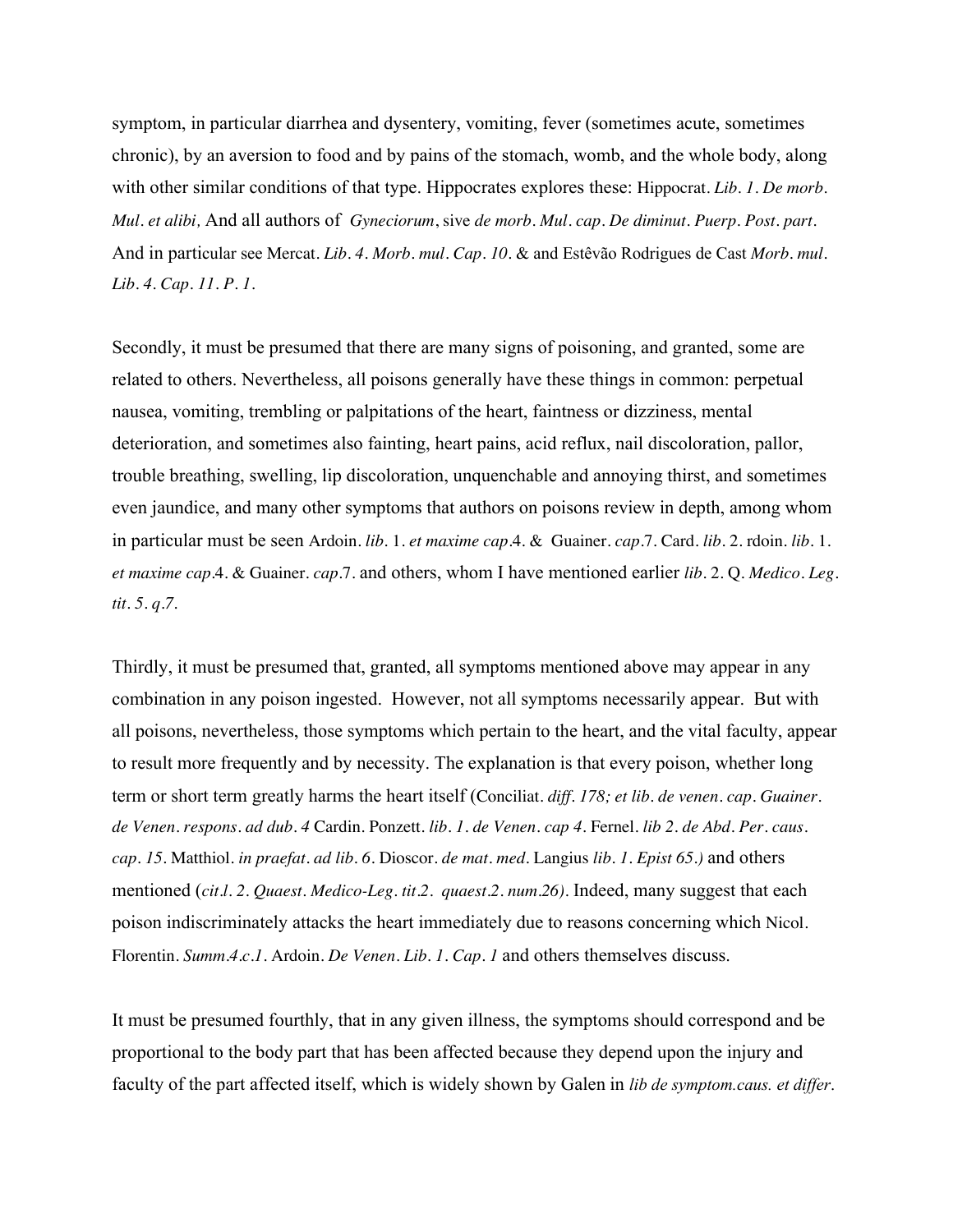symptom, in particular diarrhea and dysentery, vomiting, fever (sometimes acute, sometimes chronic), by an aversion to food and by pains of the stomach, womb, and the whole body, along with other similar conditions of that type. Hippocrates explores these: Hippocrat. *Lib. 1. De morb. Mul. et alibi,* And all authors of *Gyneciorum*, sive *de morb. Mul. cap. De diminut. Puerp. Post. part.*  And in particular see Mercat*. Lib. 4. Morb. mul. Cap. 10.* & and Estêvão Rodrigues de Cast *Morb. mul. Lib. 4. Cap. 11. P. 1.*

Secondly, it must be presumed that there are many signs of poisoning, and granted, some are related to others. Nevertheless, all poisons generally have these things in common: perpetual nausea, vomiting, trembling or palpitations of the heart, faintness or dizziness, mental deterioration, and sometimes also fainting, heart pains, acid reflux, nail discoloration, pallor, trouble breathing, swelling, lip discoloration, unquenchable and annoying thirst, and sometimes even jaundice, and many other symptoms that authors on poisons review in depth, among whom in particular must be seen Ardoin. *lib.* 1. *et maxime cap*.4. & Guainer. *cap*.7. Card. *lib*. 2. rdoin. *lib.* 1. *et maxime cap*.4. & Guainer. *cap*.7. and others, whom I have mentioned earlier *lib*. 2. Q. *Medico. Leg. tit. 5. q.7.*

Thirdly, it must be presumed that, granted, all symptoms mentioned above may appear in any combination in any poison ingested. However, not all symptoms necessarily appear. But with all poisons, nevertheless, those symptoms which pertain to the heart, and the vital faculty, appear to result more frequently and by necessity. The explanation is that every poison, whether long term or short term greatly harms the heart itself (Conciliat. *diff. 178; et lib. de venen. cap. Guainer. de Venen. respons. ad dub. 4* Cardin. Ponzett. *lib. 1. de Venen. cap 4.* Fernel. *lib 2. de Abd. Per. caus. cap. 15.* Matthiol. *in praefat. ad lib. 6.* Dioscor. *de mat. med.* Langius *lib. 1. Epist 65.)* and others mentioned (*cit.l. 2. Quaest. Medico-Leg. tit.2. quaest.2. num.26).* Indeed, many suggest that each poison indiscriminately attacks the heart immediately due to reasons concerning which Nicol. Florentin. *Summ.4.c.1.* Ardoin. *De Venen. Lib. 1. Cap. 1* and others themselves discuss.

It must be presumed fourthly, that in any given illness, the symptoms should correspond and be proportional to the body part that has been affected because they depend upon the injury and faculty of the part affected itself, which is widely shown by Galen in *lib de symptom.caus. et differ*.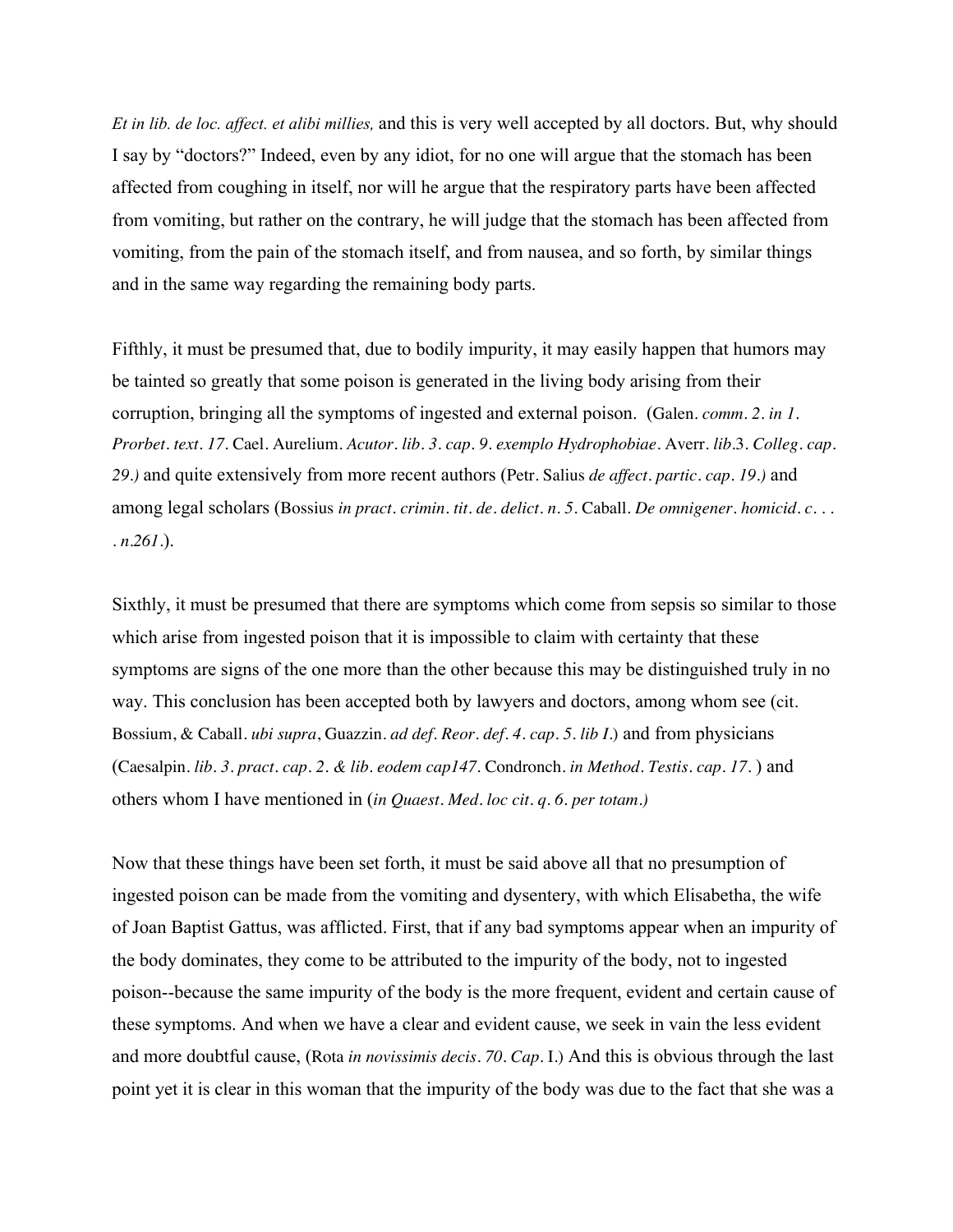*Et in lib. de loc. affect. et alibi millies,* and this is very well accepted by all doctors. But, why should I say by "doctors?" Indeed, even by any idiot, for no one will argue that the stomach has been affected from coughing in itself, nor will he argue that the respiratory parts have been affected from vomiting, but rather on the contrary, he will judge that the stomach has been affected from vomiting, from the pain of the stomach itself, and from nausea, and so forth, by similar things and in the same way regarding the remaining body parts.

Fifthly, it must be presumed that, due to bodily impurity, it may easily happen that humors may be tainted so greatly that some poison is generated in the living body arising from their corruption, bringing all the symptoms of ingested and external poison. (Galen*. comm. 2. in 1. Prorbet. text. 17.* Cael*.* Aurelium. *Acutor. lib. 3. cap. 9. exemplo Hydrophobiae.* Averr. *lib*.3. *Colleg. cap. 29.)* and quite extensively from more recent authors (Petr*.* Salius *de affect. partic. cap. 19.)* and among legal scholars (Bossius *in pract. crimin. tit. de. delict. n. 5.* Caball*. De omnigener. homicid. c. . . . n.261.*).

Sixthly, it must be presumed that there are symptoms which come from sepsis so similar to those which arise from ingested poison that it is impossible to claim with certainty that these symptoms are signs of the one more than the other because this may be distinguished truly in no way. This conclusion has been accepted both by lawyers and doctors, among whom see (cit. Bossium, & Caball. *ubi supra*, Guazzin. *ad def. Reor. def. 4. cap. 5. lib I.*) and from physicians (Caesalpin. *lib. 3. pract. cap. 2. & lib. eodem cap147.* Condronch. *in Method. Testis. cap. 17*. ) and others whom I have mentioned in (*in Quaest. Med. loc cit. q. 6. per totam.)*

Now that these things have been set forth, it must be said above all that no presumption of ingested poison can be made from the vomiting and dysentery, with which Elisabetha, the wife of Joan Baptist Gattus, was afflicted. First, that if any bad symptoms appear when an impurity of the body dominates, they come to be attributed to the impurity of the body, not to ingested poison--because the same impurity of the body is the more frequent, evident and certain cause of these symptoms. And when we have a clear and evident cause, we seek in vain the less evident and more doubtful cause, (Rota *in novissimis decis. 70. Cap.* I.) And this is obvious through the last point yet it is clear in this woman that the impurity of the body was due to the fact that she was a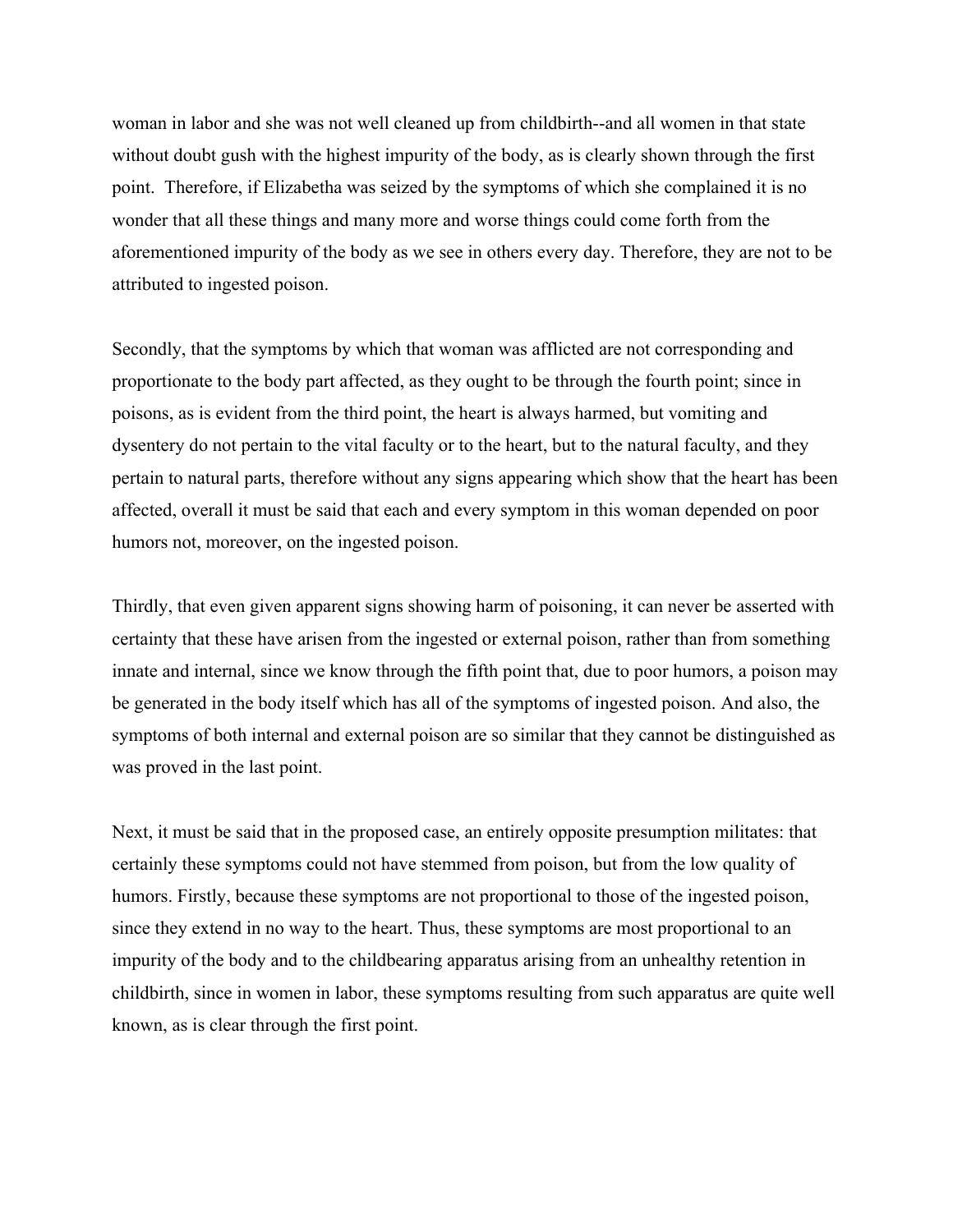woman in labor and she was not well cleaned up from childbirth--and all women in that state without doubt gush with the highest impurity of the body, as is clearly shown through the first point. Therefore, if Elizabetha was seized by the symptoms of which she complained it is no wonder that all these things and many more and worse things could come forth from the aforementioned impurity of the body as we see in others every day. Therefore, they are not to be attributed to ingested poison.

Secondly, that the symptoms by which that woman was afflicted are not corresponding and proportionate to the body part affected, as they ought to be through the fourth point; since in poisons, as is evident from the third point, the heart is always harmed, but vomiting and dysentery do not pertain to the vital faculty or to the heart, but to the natural faculty, and they pertain to natural parts, therefore without any signs appearing which show that the heart has been affected, overall it must be said that each and every symptom in this woman depended on poor humors not, moreover, on the ingested poison.

Thirdly, that even given apparent signs showing harm of poisoning, it can never be asserted with certainty that these have arisen from the ingested or external poison, rather than from something innate and internal, since we know through the fifth point that, due to poor humors, a poison may be generated in the body itself which has all of the symptoms of ingested poison. And also, the symptoms of both internal and external poison are so similar that they cannot be distinguished as was proved in the last point.

Next, it must be said that in the proposed case, an entirely opposite presumption militates: that certainly these symptoms could not have stemmed from poison, but from the low quality of humors. Firstly, because these symptoms are not proportional to those of the ingested poison, since they extend in no way to the heart. Thus, these symptoms are most proportional to an impurity of the body and to the childbearing apparatus arising from an unhealthy retention in childbirth, since in women in labor, these symptoms resulting from such apparatus are quite well known, as is clear through the first point.